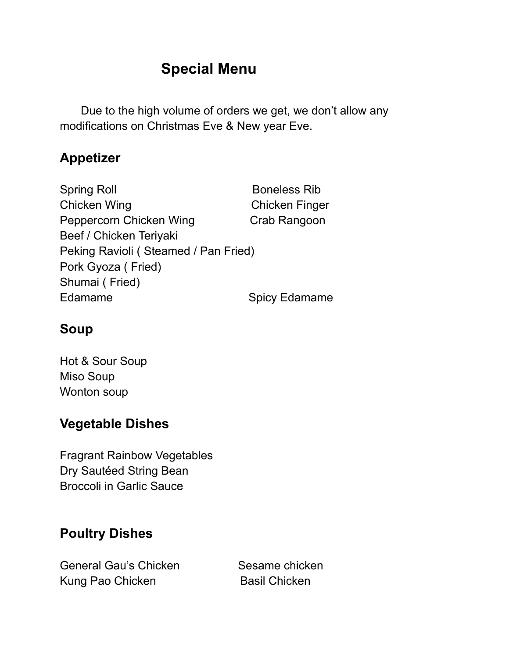# **Special Menu**

Due to the high volume of orders we get, we don't allow any modifications on Christmas Eve & New year Eve.

### **Appetizer**

| <b>Spring Roll</b>                   | <b>Boneless Rib</b>   |
|--------------------------------------|-----------------------|
| <b>Chicken Wing</b>                  | <b>Chicken Finger</b> |
| Peppercorn Chicken Wing              | Crab Rangoon          |
| Beef / Chicken Teriyaki              |                       |
| Peking Ravioli (Steamed / Pan Fried) |                       |
| Pork Gyoza (Fried)                   |                       |
| Shumai (Fried)                       |                       |
| Edamame                              | <b>Spicy Edamame</b>  |
|                                      |                       |

# **Soup**

Hot & Sour Soup Miso Soup Wonton soup

# **Vegetable Dishes**

Fragrant Rainbow Vegetables Dry Sautéed String Bean Broccoli in Garlic Sauce

# **Poultry Dishes**

General Gau's Chicken Sesame chicken Kung Pao Chicken Basil Chicken